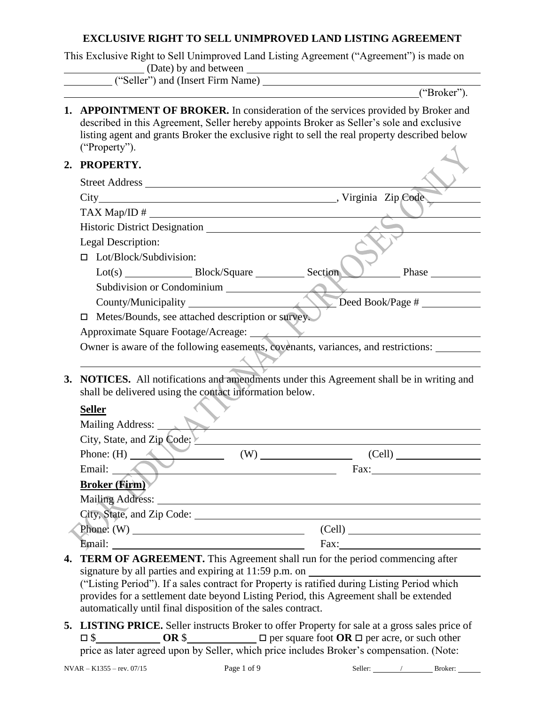# **EXCLUSIVE RIGHT TO SELL UNIMPROVED LAND LISTING AGREEMENT**

|    | This Exclusive Right to Sell Unimproved Land Listing Agreement ("Agreement") is made on<br>(Date) by and between                                                                                                                                                                                        |  |  |  |  |
|----|---------------------------------------------------------------------------------------------------------------------------------------------------------------------------------------------------------------------------------------------------------------------------------------------------------|--|--|--|--|
|    |                                                                                                                                                                                                                                                                                                         |  |  |  |  |
|    | ("Broker").                                                                                                                                                                                                                                                                                             |  |  |  |  |
|    | <b>1. APPOINTMENT OF BROKER.</b> In consideration of the services provided by Broker and<br>described in this Agreement, Seller hereby appoints Broker as Seller's sole and exclusive<br>listing agent and grants Broker the exclusive right to sell the real property described below<br>("Property"). |  |  |  |  |
| 2. | PROPERTY.                                                                                                                                                                                                                                                                                               |  |  |  |  |
|    | Street Address                                                                                                                                                                                                                                                                                          |  |  |  |  |
|    |                                                                                                                                                                                                                                                                                                         |  |  |  |  |
|    | $TAX \text{ Map/ID} \#$                                                                                                                                                                                                                                                                                 |  |  |  |  |
|    |                                                                                                                                                                                                                                                                                                         |  |  |  |  |
|    | Legal Description:                                                                                                                                                                                                                                                                                      |  |  |  |  |
|    | Lot/Block/Subdivision:<br>О.                                                                                                                                                                                                                                                                            |  |  |  |  |
|    | Phase                                                                                                                                                                                                                                                                                                   |  |  |  |  |
|    | Subdivision or Condominium                                                                                                                                                                                                                                                                              |  |  |  |  |
|    | Deed Book/Page #                                                                                                                                                                                                                                                                                        |  |  |  |  |
|    | Metes/Bounds, see attached description or survey.<br>□                                                                                                                                                                                                                                                  |  |  |  |  |
|    | Approximate Square Footage/Acreage:                                                                                                                                                                                                                                                                     |  |  |  |  |
|    | Owner is aware of the following easements, covenants, variances, and restrictions: ______                                                                                                                                                                                                               |  |  |  |  |
| 3. | NOTICES. All notifications and amendments under this Agreement shall be in writing and<br>shall be delivered using the contact information below.<br><b>Seller</b>                                                                                                                                      |  |  |  |  |
|    | Mailing Address:                                                                                                                                                                                                                                                                                        |  |  |  |  |
|    | City, State, and Zip Code; Y                                                                                                                                                                                                                                                                            |  |  |  |  |
|    | Phone: $(H)$<br>(Cell)                                                                                                                                                                                                                                                                                  |  |  |  |  |
|    | $\overline{\phantom{a}}$ Fax:<br>Email:                                                                                                                                                                                                                                                                 |  |  |  |  |
|    | Broker (Firm)                                                                                                                                                                                                                                                                                           |  |  |  |  |
|    |                                                                                                                                                                                                                                                                                                         |  |  |  |  |
|    |                                                                                                                                                                                                                                                                                                         |  |  |  |  |
|    | Phone: $(W)$ (Cell) (Cell)                                                                                                                                                                                                                                                                              |  |  |  |  |
|    |                                                                                                                                                                                                                                                                                                         |  |  |  |  |
| 4. | TERM OF AGREEMENT. This Agreement shall run for the period commencing after                                                                                                                                                                                                                             |  |  |  |  |
|    | ("Listing Period"). If a sales contract for Property is ratified during Listing Period which<br>provides for a settlement date beyond Listing Period, this Agreement shall be extended<br>automatically until final disposition of the sales contract.                                                  |  |  |  |  |
|    | <b>5. LISTING PRICE.</b> Seller instructs Broker to offer Property for sale at a gross sales price of                                                                                                                                                                                                   |  |  |  |  |

 \$ **OR** \$ per square foot **OR**  per acre, or such other price as later agreed upon by Seller, which price includes Broker's compensation. (Note: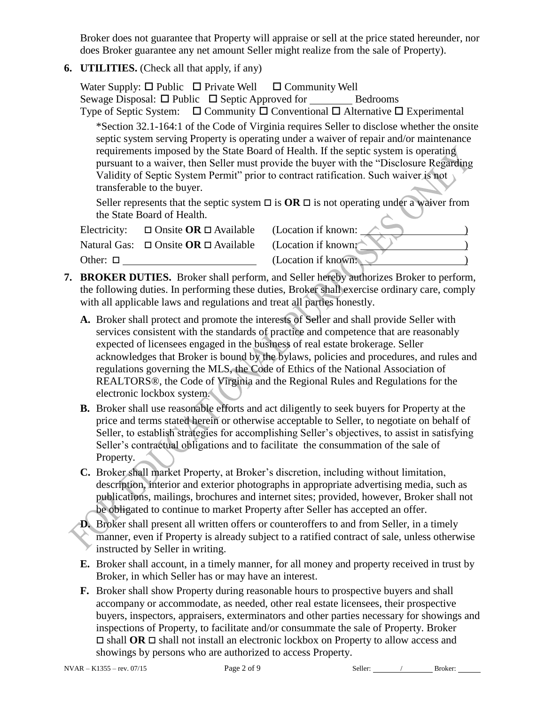Broker does not guarantee that Property will appraise or sell at the price stated hereunder, nor does Broker guarantee any net amount Seller might realize from the sale of Property).

**6. UTILITIES.** (Check all that apply, if any)

|                                                                                                                                                                                                                                                                                                                                                                                                                                                                                                | Water Supply: $\Box$ Public $\Box$ Private Well $\Box$ Community Well | Sewage Disposal: $\Box$ Public $\Box$ Septic Approved for Bedrooms<br>Type of Septic System: $\Box$ Community $\Box$ Conventional $\Box$ Alternative $\Box$ Experimental |  |  |  |  |  |  |
|------------------------------------------------------------------------------------------------------------------------------------------------------------------------------------------------------------------------------------------------------------------------------------------------------------------------------------------------------------------------------------------------------------------------------------------------------------------------------------------------|-----------------------------------------------------------------------|--------------------------------------------------------------------------------------------------------------------------------------------------------------------------|--|--|--|--|--|--|
| *Section 32.1-164:1 of the Code of Virginia requires Seller to disclose whether the onsite<br>septic system serving Property is operating under a waiver of repair and/or maintenance<br>requirements imposed by the State Board of Health. If the septic system is operating<br>pursuant to a waiver, then Seller must provide the buyer with the "Disclosure Regarding<br>Validity of Septic System Permit" prior to contract ratification. Such waiver is not<br>transferable to the buyer. |                                                                       |                                                                                                                                                                          |  |  |  |  |  |  |
| Seller represents that the septic system $\Box$ is $OR \Box$ is not operating under a waiver from<br>the State Board of Health.                                                                                                                                                                                                                                                                                                                                                                |                                                                       |                                                                                                                                                                          |  |  |  |  |  |  |
| Electricity:                                                                                                                                                                                                                                                                                                                                                                                                                                                                                   | $\Box$ Onsite <b>OR</b> $\Box$ Available                              | (Location if known:                                                                                                                                                      |  |  |  |  |  |  |
|                                                                                                                                                                                                                                                                                                                                                                                                                                                                                                | Natural Gas: $\Box$ Onsite <b>OR</b> $\Box$ Available                 | (Location if known                                                                                                                                                       |  |  |  |  |  |  |
| Other: $\square$                                                                                                                                                                                                                                                                                                                                                                                                                                                                               |                                                                       | (Location if known:                                                                                                                                                      |  |  |  |  |  |  |

- **7. BROKER DUTIES.** Broker shall perform, and Seller hereby authorizes Broker to perform, the following duties. In performing these duties, Broker shall exercise ordinary care, comply with all applicable laws and regulations and treat all parties honestly.
	- **A.** Broker shall protect and promote the interests of Seller and shall provide Seller with services consistent with the standards of practice and competence that are reasonably expected of licensees engaged in the business of real estate brokerage. Seller acknowledges that Broker is bound by the bylaws, policies and procedures, and rules and regulations governing the MLS, the Code of Ethics of the National Association of REALTORS®, the Code of Virginia and the Regional Rules and Regulations for the electronic lockbox system.
	- **B.** Broker shall use reasonable efforts and act diligently to seek buyers for Property at the price and terms stated herein or otherwise acceptable to Seller, to negotiate on behalf of Seller, to establish strategies for accomplishing Seller's objectives, to assist in satisfying Seller's contractual obligations and to facilitate the consummation of the sale of Property.
	- **C.** Broker shall market Property, at Broker's discretion, including without limitation, description, interior and exterior photographs in appropriate advertising media, such as publications, mailings, brochures and internet sites; provided, however, Broker shall not be obligated to continue to market Property after Seller has accepted an offer.
	- **D.** Broker shall present all written offers or counteroffers to and from Seller, in a timely manner, even if Property is already subject to a ratified contract of sale, unless otherwise instructed by Seller in writing.
	- **E.** Broker shall account, in a timely manner, for all money and property received in trust by Broker, in which Seller has or may have an interest.
	- **F.** Broker shall show Property during reasonable hours to prospective buyers and shall accompany or accommodate, as needed, other real estate licensees, their prospective buyers, inspectors, appraisers, exterminators and other parties necessary for showings and inspections of Property, to facilitate and/or consummate the sale of Property. Broker  $\Box$  shall **OR**  $\Box$  shall not install an electronic lockbox on Property to allow access and showings by persons who are authorized to access Property.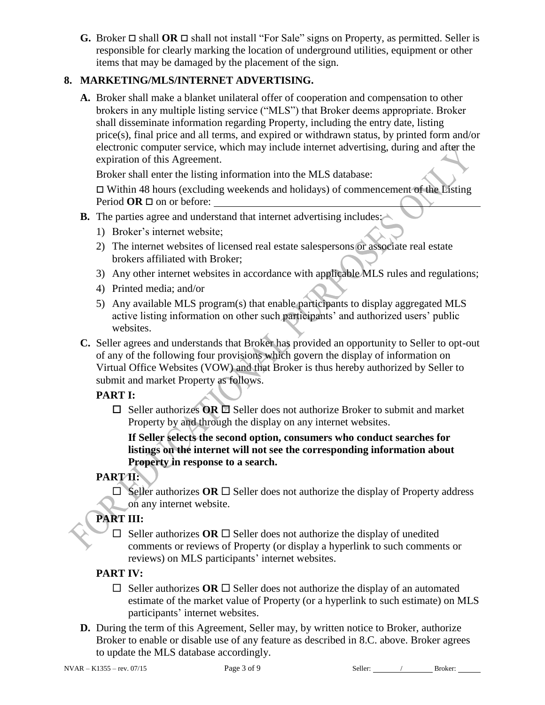**G.** Broker  $\Box$  shall **OR**  $\Box$  shall not install "For Sale" signs on Property, as permitted. Seller is responsible for clearly marking the location of underground utilities, equipment or other items that may be damaged by the placement of the sign.

# **8. MARKETING/MLS/INTERNET ADVERTISING.**

**A.** Broker shall make a blanket unilateral offer of cooperation and compensation to other brokers in any multiple listing service ("MLS") that Broker deems appropriate. Broker shall disseminate information regarding Property, including the entry date, listing price(s), final price and all terms, and expired or withdrawn status, by printed form and/or electronic computer service, which may include internet advertising, during and after the expiration of this Agreement.

Broker shall enter the listing information into the MLS database:

 $\Box$  Within 48 hours (excluding weekends and holidays) of commencement of the Listing Period  $OR \square$  on or before:

- **B.** The parties agree and understand that internet advertising includes:
	- 1) Broker's internet website;
	- 2) The internet websites of licensed real estate salespersons or associate real estate brokers affiliated with Broker;
	- 3) Any other internet websites in accordance with applicable MLS rules and regulations;
	- 4) Printed media; and/or
	- 5) Any available MLS program(s) that enable participants to display aggregated MLS active listing information on other such participants' and authorized users' public websites.
- **C.** Seller agrees and understands that Broker has provided an opportunity to Seller to opt-out of any of the following four provisions which govern the display of information on Virtual Office Websites (VOW) and that Broker is thus hereby authorized by Seller to submit and market Property as follows.

# **PART I:**

□ Seller authorizes **OR** □ Seller does not authorize Broker to submit and market Property by and through the display on any internet websites.

**If Seller selects the second option, consumers who conduct searches for listings on the internet will not see the corresponding information about Property in response to a search.**

# **PART II:**

 $\Box$  Seller authorizes OR  $\Box$  Seller does not authorize the display of Property address on any internet website.

# **PART III:**

 $\Box$  Seller authorizes **OR**  $\Box$  Seller does not authorize the display of unedited comments or reviews of Property (or display a hyperlink to such comments or reviews) on MLS participants' internet websites.

# **PART IV:**

- $\Box$  Seller authorizes **OR**  $\Box$  Seller does not authorize the display of an automated estimate of the market value of Property (or a hyperlink to such estimate) on MLS participants' internet websites.
- **D.** During the term of this Agreement, Seller may, by written notice to Broker, authorize Broker to enable or disable use of any feature as described in 8.C. above. Broker agrees to update the MLS database accordingly.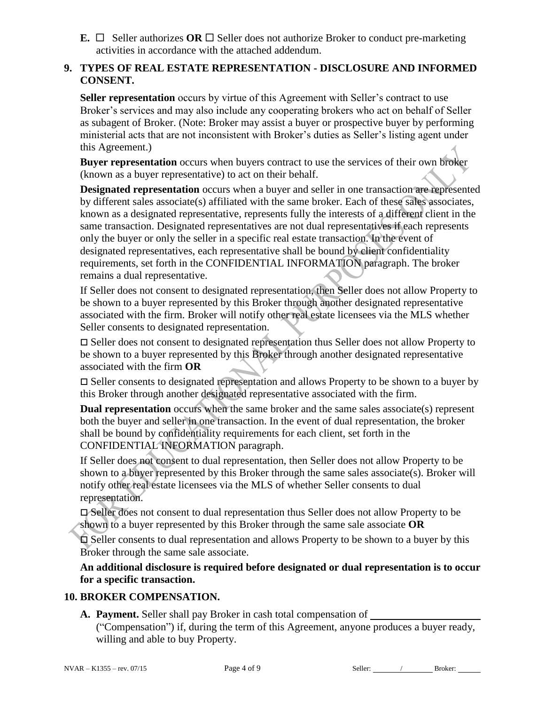**E.**  $\Box$  Seller authorizes **OR**  $\Box$  Seller does not authorize Broker to conduct pre-marketing activities in accordance with the attached addendum.

#### **9. TYPES OF REAL ESTATE REPRESENTATION - DISCLOSURE AND INFORMED CONSENT.**

**Seller representation** occurs by virtue of this Agreement with Seller's contract to use Broker's services and may also include any cooperating brokers who act on behalf of Seller as subagent of Broker. (Note: Broker may assist a buyer or prospective buyer by performing ministerial acts that are not inconsistent with Broker's duties as Seller's listing agent under this Agreement.)

**Buyer representation** occurs when buyers contract to use the services of their own broker (known as a buyer representative) to act on their behalf.

**Designated representation** occurs when a buyer and seller in one transaction are represented by different sales associate(s) affiliated with the same broker. Each of these sales associates, known as a designated representative, represents fully the interests of a different client in the same transaction. Designated representatives are not dual representatives if each represents only the buyer or only the seller in a specific real estate transaction. In the event of designated representatives, each representative shall be bound by client confidentiality requirements, set forth in the CONFIDENTIAL INFORMATION paragraph. The broker remains a dual representative.

If Seller does not consent to designated representation, then Seller does not allow Property to be shown to a buyer represented by this Broker through another designated representative associated with the firm. Broker will notify other real estate licensees via the MLS whether Seller consents to designated representation.

 Seller does not consent to designated representation thus Seller does not allow Property to be shown to a buyer represented by this Broker through another designated representative associated with the firm **OR**

 $\Box$  Seller consents to designated representation and allows Property to be shown to a buyer by this Broker through another designated representative associated with the firm.

**Dual representation** occurs when the same broker and the same sales associate(s) represent both the buyer and seller in one transaction. In the event of dual representation, the broker shall be bound by confidentiality requirements for each client, set forth in the CONFIDENTIAL INFORMATION paragraph.

If Seller does not consent to dual representation, then Seller does not allow Property to be shown to a buyer represented by this Broker through the same sales associate(s). Broker will notify other real estate licensees via the MLS of whether Seller consents to dual representation.

 Seller does not consent to dual representation thus Seller does not allow Property to be shown to a buyer represented by this Broker through the same sale associate **OR**

 Seller consents to dual representation and allows Property to be shown to a buyer by this Broker through the same sale associate.

**An additional disclosure is required before designated or dual representation is to occur for a specific transaction.**

#### **10. BROKER COMPENSATION.**

**A. Payment.** Seller shall pay Broker in cash total compensation of ("Compensation") if, during the term of this Agreement, anyone produces a buyer ready, willing and able to buy Property.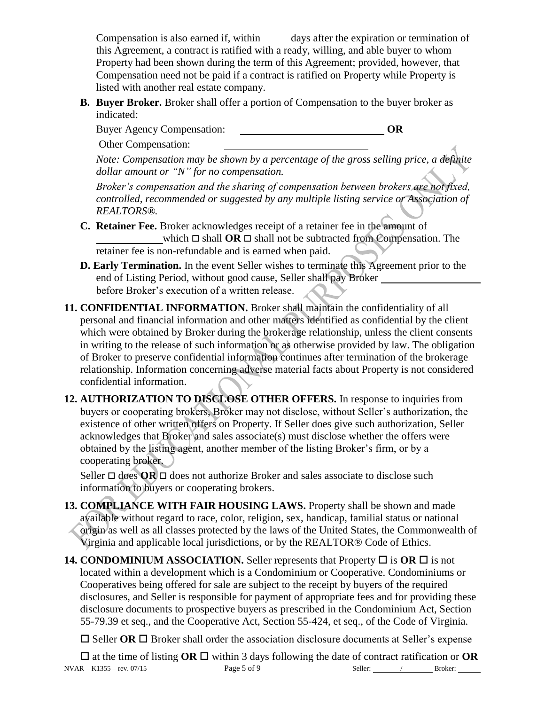Compensation is also earned if, within days after the expiration or termination of this Agreement, a contract is ratified with a ready, willing, and able buyer to whom Property had been shown during the term of this Agreement; provided, however, that Compensation need not be paid if a contract is ratified on Property while Property is listed with another real estate company.

**B. Buyer Broker.** Broker shall offer a portion of Compensation to the buyer broker as indicated:

Buyer Agency Compensation: **OR**

Other Compensation:

*Note: Compensation may be shown by a percentage of the gross selling price, a definite dollar amount or "N" for no compensation.*

*Broker's compensation and the sharing of compensation between brokers are not fixed, controlled, recommended or suggested by any multiple listing service or Association of REALTORS®.*

- **C. Retainer Fee.** Broker acknowledges receipt of a retainer fee in the amount of which  $\Box$  shall **OR**  $\Box$  shall not be subtracted from Compensation. The retainer fee is non-refundable and is earned when paid.
- **D. Early Termination.** In the event Seller wishes to terminate this Agreement prior to the end of Listing Period, without good cause, Seller shall pay Broker before Broker's execution of a written release.
- **11. CONFIDENTIAL INFORMATION.** Broker shall maintain the confidentiality of all personal and financial information and other matters identified as confidential by the client which were obtained by Broker during the brokerage relationship, unless the client consents in writing to the release of such information or as otherwise provided by law. The obligation of Broker to preserve confidential information continues after termination of the brokerage relationship. Information concerning adverse material facts about Property is not considered confidential information.
- **12. AUTHORIZATION TO DISCLOSE OTHER OFFERS.** In response to inquiries from buyers or cooperating brokers, Broker may not disclose, without Seller's authorization, the existence of other written offers on Property. If Seller does give such authorization, Seller acknowledges that Broker and sales associate(s) must disclose whether the offers were obtained by the listing agent, another member of the listing Broker's firm, or by a cooperating broker.

Seller  $\Box$  does  $OR \Box$  does not authorize Broker and sales associate to disclose such information to buyers or cooperating brokers.

- **13. COMPLIANCE WITH FAIR HOUSING LAWS.** Property shall be shown and made available without regard to race, color, religion, sex, handicap, familial status or national origin as well as all classes protected by the laws of the United States, the Commonwealth of Virginia and applicable local jurisdictions, or by the REALTOR® Code of Ethics.
- **14. CONDOMINIUM ASSOCIATION.** Seller represents that Property  $\Box$  is  $\overline{OR}$   $\Box$  is not located within a development which is a Condominium or Cooperative. Condominiums or Cooperatives being offered for sale are subject to the receipt by buyers of the required disclosures, and Seller is responsible for payment of appropriate fees and for providing these disclosure documents to prospective buyers as prescribed in the Condominium Act, Section 55-79.39 et seq., and the Cooperative Act, Section 55-424, et seq., of the Code of Virginia.

 $\square$  Seller **OR**  $\square$  Broker shall order the association disclosure documents at Seller's expense

NVAR – K1355 – rev. 07/15 **Page 5 of 9** Seller: / Broker: <u>Broker:</u> / Broker: <u>1986</u>  $\Box$  at the time of listing **OR**  $\Box$  within 3 days following the date of contract ratification or **OR**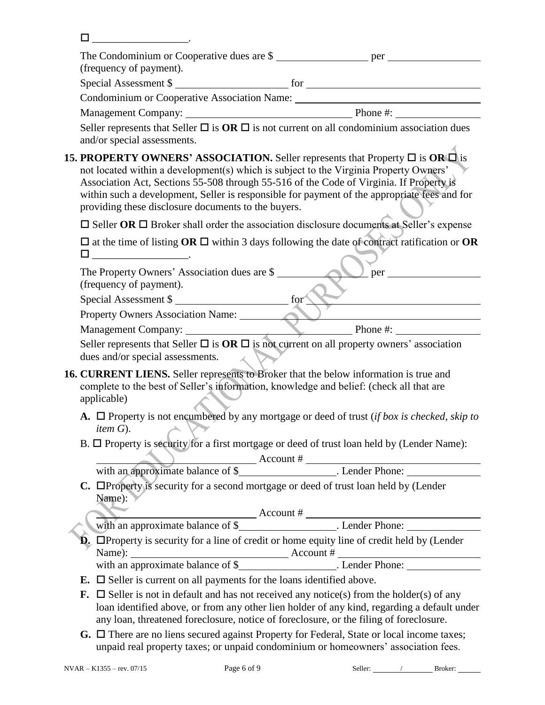| The Condominium or Cooperative dues are \$<br>(frequency of payment).                                                                                                                                                                                                                                                                                                                                                                      |  |  |  |  |
|--------------------------------------------------------------------------------------------------------------------------------------------------------------------------------------------------------------------------------------------------------------------------------------------------------------------------------------------------------------------------------------------------------------------------------------------|--|--|--|--|
| Special Assessment \$                                                                                                                                                                                                                                                                                                                                                                                                                      |  |  |  |  |
| Condominium or Cooperative Association Name: ___________________________________                                                                                                                                                                                                                                                                                                                                                           |  |  |  |  |
|                                                                                                                                                                                                                                                                                                                                                                                                                                            |  |  |  |  |
| Seller represents that Seller $\Box$ is $OR \Box$ is not current on all condominium association dues<br>and/or special assessments.                                                                                                                                                                                                                                                                                                        |  |  |  |  |
| <b>15. PROPERTY OWNERS' ASSOCIATION.</b> Seller represents that Property $\Box$ is OR $\Box$ is<br>not located within a development(s) which is subject to the Virginia Property Owners'<br>Association Act, Sections 55-508 through 55-516 of the Code of Virginia. If Property is<br>within such a development, Seller is responsible for payment of the appropriate fees and for<br>providing these disclosure documents to the buyers. |  |  |  |  |
| $\Box$ Seller OR $\Box$ Broker shall order the association disclosure documents at Seller's expense                                                                                                                                                                                                                                                                                                                                        |  |  |  |  |
| $\square$ at the time of listing OR $\square$ within 3 days following the date of contract ratification or OR                                                                                                                                                                                                                                                                                                                              |  |  |  |  |
| The Property Owners' Association dues are \$<br>(frequency of payment).                                                                                                                                                                                                                                                                                                                                                                    |  |  |  |  |
| Special Assessment \$                                                                                                                                                                                                                                                                                                                                                                                                                      |  |  |  |  |
| Property Owners Association Name:                                                                                                                                                                                                                                                                                                                                                                                                          |  |  |  |  |
| Management Company: $\qquad \qquad$ Phone #:                                                                                                                                                                                                                                                                                                                                                                                               |  |  |  |  |
| Seller represents that Seller $\Box$ is $OR \Box$ is not current on all property owners' association<br>dues and/or special assessments.                                                                                                                                                                                                                                                                                                   |  |  |  |  |
| 16. CURRENT LIENS. Seller represents to Broker that the below information is true and<br>complete to the best of Seller's information, knowledge and belief: (check all that are<br>applicable)                                                                                                                                                                                                                                            |  |  |  |  |
| A. $\Box$ Property is not encumbered by any mortgage or deed of trust (if box is checked, skip to<br>$\rightarrow$ $\vee$<br><i>item</i> $G$ ).                                                                                                                                                                                                                                                                                            |  |  |  |  |
| B. $\Box$ Property is security for a first mortgage or deed of trust loan held by (Lender Name):                                                                                                                                                                                                                                                                                                                                           |  |  |  |  |
|                                                                                                                                                                                                                                                                                                                                                                                                                                            |  |  |  |  |
| C. Deproperty is security for a second mortgage or deed of trust loan held by (Lender<br>Name):                                                                                                                                                                                                                                                                                                                                            |  |  |  |  |
|                                                                                                                                                                                                                                                                                                                                                                                                                                            |  |  |  |  |
| $\hat{\mathbf{D}}$ . $\Box$ Property is security for a line of credit or home equity line of credit held by (Lender                                                                                                                                                                                                                                                                                                                        |  |  |  |  |
|                                                                                                                                                                                                                                                                                                                                                                                                                                            |  |  |  |  |
|                                                                                                                                                                                                                                                                                                                                                                                                                                            |  |  |  |  |
| <b>E.</b> $\Box$ Seller is current on all payments for the loans identified above.                                                                                                                                                                                                                                                                                                                                                         |  |  |  |  |
| <b>F.</b> $\Box$ Seller is not in default and has not received any notice(s) from the holder(s) of any<br>loan identified above, or from any other lien holder of any kind, regarding a default under<br>any loan, threatened foreclosure, notice of foreclosure, or the filing of foreclosure.                                                                                                                                            |  |  |  |  |
| $G \cap$ There are no liens secured against Property for Eederal. State or local income taxes:                                                                                                                                                                                                                                                                                                                                             |  |  |  |  |

**G.** There are no liens secured against Property for Federal, State or local income taxes; unpaid real property taxes; or unpaid condominium or homeowners' association fees.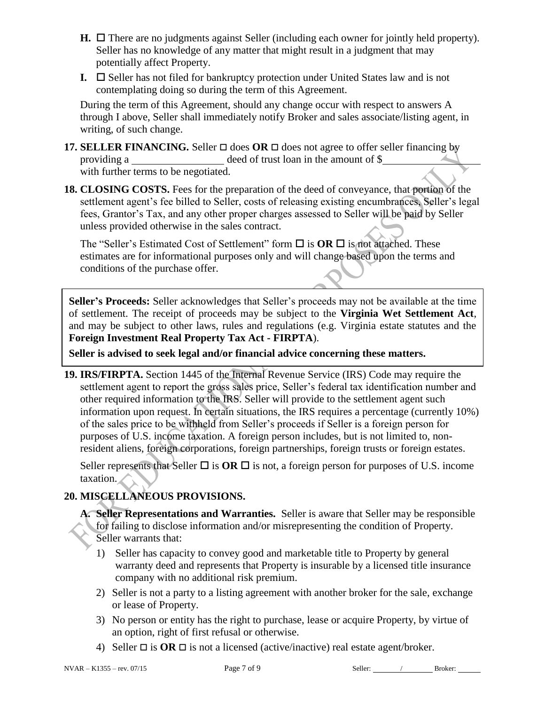- $H. \Box$  There are no judgments against Seller (including each owner for jointly held property). Seller has no knowledge of any matter that might result in a judgment that may potentially affect Property.
- **I.**  $\Box$  Seller has not filed for bankruptcy protection under United States law and is not contemplating doing so during the term of this Agreement.

During the term of this Agreement, should any change occur with respect to answers A through I above, Seller shall immediately notify Broker and sales associate/listing agent, in writing, of such change.

- **17. SELLER FINANCING.** Seller  $\Box$  does **OR**  $\Box$  does not agree to offer seller financing by providing a \_\_\_\_\_\_\_\_\_\_\_\_\_\_\_\_\_\_\_\_\_\_\_\_ deed of trust loan in the amount of \$\_\_\_\_\_\_ with further terms to be negotiated.
- **18. CLOSING COSTS.** Fees for the preparation of the deed of conveyance, that portion of the settlement agent's fee billed to Seller, costs of releasing existing encumbrances, Seller's legal fees, Grantor's Tax, and any other proper charges assessed to Seller will be paid by Seller unless provided otherwise in the sales contract.

The "Seller's Estimated Cost of Settlement" form  $\Box$  is  $OR \Box$  is not attached. These estimates are for informational purposes only and will change based upon the terms and conditions of the purchase offer.

**Seller's Proceeds:** Seller acknowledges that Seller's proceeds may not be available at the time of settlement. The receipt of proceeds may be subject to the **Virginia Wet Settlement Act**, and may be subject to other laws, rules and regulations (e.g. Virginia estate statutes and the **Foreign Investment Real Property Tax Act - FIRPTA**).

**Seller is advised to seek legal and/or financial advice concerning these matters.**

**19. IRS/FIRPTA.** Section 1445 of the Internal Revenue Service (IRS) Code may require the settlement agent to report the gross sales price, Seller's federal tax identification number and other required information to the IRS. Seller will provide to the settlement agent such information upon request. In certain situations, the IRS requires a percentage (currently 10%) of the sales price to be withheld from Seller's proceeds if Seller is a foreign person for purposes of U.S. income taxation. A foreign person includes, but is not limited to, nonresident aliens, foreign corporations, foreign partnerships, foreign trusts or foreign estates.

Seller represents that Seller  $\Box$  is **OR**  $\Box$  is not, a foreign person for purposes of U.S. income taxation.

# **20. MISCELLANEOUS PROVISIONS.**

- **A. Seller Representations and Warranties.** Seller is aware that Seller may be responsible for failing to disclose information and/or misrepresenting the condition of Property. Seller warrants that:
	- 1) Seller has capacity to convey good and marketable title to Property by general warranty deed and represents that Property is insurable by a licensed title insurance company with no additional risk premium.
	- 2) Seller is not a party to a listing agreement with another broker for the sale, exchange or lease of Property.
	- 3) No person or entity has the right to purchase, lease or acquire Property, by virtue of an option, right of first refusal or otherwise.
	- 4) Seller  $\Box$  is **OR**  $\Box$  is not a licensed (active/inactive) real estate agent/broker.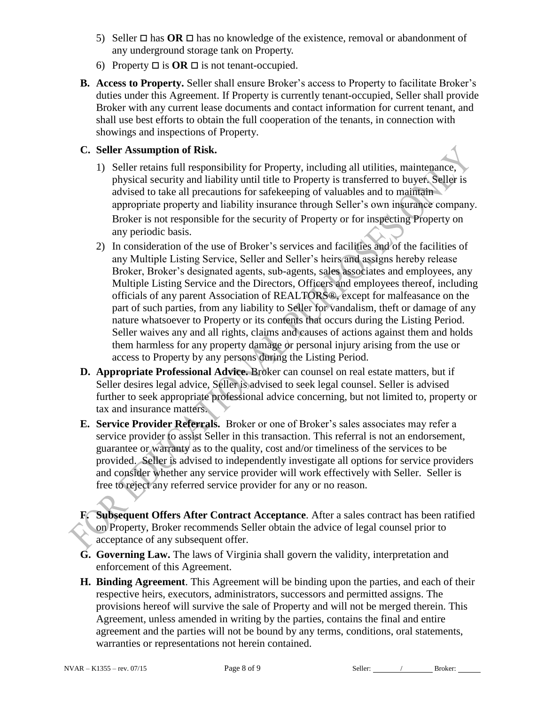- 5) Seller  $\Box$  has **OR**  $\Box$  has no knowledge of the existence, removal or abandonment of any underground storage tank on Property.
- 6) Property  $\Box$  is  $OR \Box$  is not tenant-occupied.
- **B. Access to Property.** Seller shall ensure Broker's access to Property to facilitate Broker's duties under this Agreement. If Property is currently tenant-occupied, Seller shall provide Broker with any current lease documents and contact information for current tenant, and shall use best efforts to obtain the full cooperation of the tenants, in connection with showings and inspections of Property.

### **C. Seller Assumption of Risk.**

- 1) Seller retains full responsibility for Property, including all utilities, maintenance, physical security and liability until title to Property is transferred to buyer. Seller is advised to take all precautions for safekeeping of valuables and to maintain appropriate property and liability insurance through Seller's own insurance company. Broker is not responsible for the security of Property or for inspecting Property on any periodic basis.
- 2) In consideration of the use of Broker's services and facilities and of the facilities of any Multiple Listing Service, Seller and Seller's heirs and assigns hereby release Broker, Broker's designated agents, sub-agents, sales associates and employees, any Multiple Listing Service and the Directors, Officers and employees thereof, including officials of any parent Association of REALTORS®, except for malfeasance on the part of such parties, from any liability to Seller for vandalism, theft or damage of any nature whatsoever to Property or its contents that occurs during the Listing Period. Seller waives any and all rights, claims and causes of actions against them and holds them harmless for any property damage or personal injury arising from the use or access to Property by any persons during the Listing Period.
- **D. Appropriate Professional Advice.** Broker can counsel on real estate matters, but if Seller desires legal advice, Seller is advised to seek legal counsel. Seller is advised further to seek appropriate professional advice concerning, but not limited to, property or tax and insurance matters.
- **E. Service Provider Referrals.** Broker or one of Broker's sales associates may refer a service provider to assist Seller in this transaction. This referral is not an endorsement, guarantee or warranty as to the quality, cost and/or timeliness of the services to be provided. Seller is advised to independently investigate all options for service providers and consider whether any service provider will work effectively with Seller. Seller is free to reject any referred service provider for any or no reason.
- **F. Subsequent Offers After Contract Acceptance**. After a sales contract has been ratified on Property, Broker recommends Seller obtain the advice of legal counsel prior to acceptance of any subsequent offer.
- **G. Governing Law.** The laws of Virginia shall govern the validity, interpretation and enforcement of this Agreement.
- **H. Binding Agreement**. This Agreement will be binding upon the parties, and each of their respective heirs, executors, administrators, successors and permitted assigns. The provisions hereof will survive the sale of Property and will not be merged therein. This Agreement, unless amended in writing by the parties, contains the final and entire agreement and the parties will not be bound by any terms, conditions, oral statements, warranties or representations not herein contained.